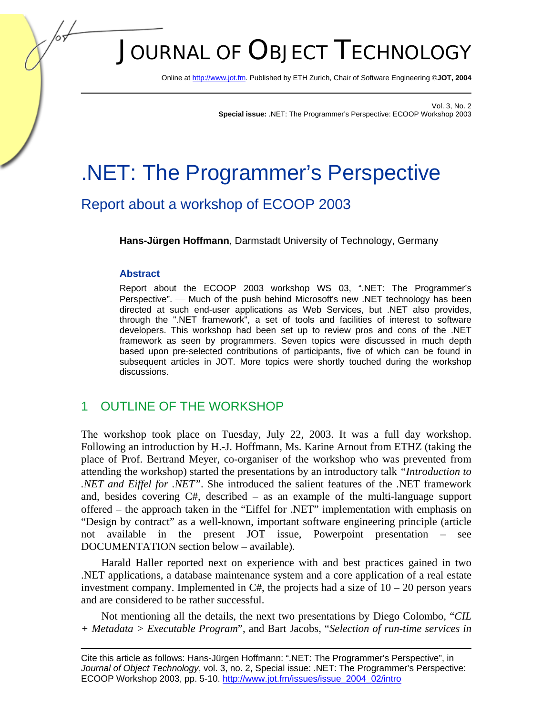# JOURNAL OF OBJECT TECHNOLOGY

Online [at http://www.jot.fm. Pu](http://www.jot.fm)blished by ETH Zurich, Chair of Software Engineering ©**JOT, 2004** 

Vol. 3, No. 2 **Special issue:** .NET: The Programmer's Perspective: ECOOP Workshop 2003

## .NET: The Programmer's Perspective

## Report about a workshop of ECOOP 2003

**Hans-Jürgen Hoffmann**, Darmstadt University of Technology, Germany

#### **Abstract**

Report about the ECOOP 2003 workshop WS 03, ".NET: The Programmer's Perspective". — Much of the push behind Microsoft's new .NET technology has been directed at such end-user applications as Web Services, but .NET also provides, through the ".NET framework", a set of tools and facilities of interest to software developers. This workshop had been set up to review pros and cons of the .NET framework as seen by programmers. Seven topics were discussed in much depth based upon pre-selected contributions of participants, five of which can be found in subsequent articles in JOT. More topics were shortly touched during the workshop discussions.

## 1 OUTLINE OF THE WORKSHOP

The workshop took place on Tuesday, July 22, 2003. It was a full day workshop. Following an introduction by H.-J. Hoffmann, Ms. Karine Arnout from ETHZ (taking the place of Prof. Bertrand Meyer, co-organiser of the workshop who was prevented from attending the workshop) started the presentations by an introductory talk *"Introduction to .NET and Eiffel for .NET"*. She introduced the salient features of the .NET framework and, besides covering C#, described – as an example of the multi-language support offered – the approach taken in the "Eiffel for .NET" implementation with emphasis on "Design by contract" as a well-known, important software engineering principle (article not available in the present JOT issue, Powerpoint presentation – see DOCUMENTATION section below – available).

Harald Haller reported next on experience with and best practices gained in two .NET applications, a database maintenance system and a core application of a real estate investment company. Implemented in  $C#$ , the projects had a size of  $10 - 20$  person years and are considered to be rather successful.

Not mentioning all the details, the next two presentations by Diego Colombo, "*CIL + Metadata > Executable Program*", and Bart Jacobs, "*Selection of run-time services in* 

Cite this article as follows: Hans-Jürgen Hoffmann: ".NET: The Programmer's Perspective", in *Journal of Object Technology*, vol. 3, no. 2, Special issue: .NET: The Programmer's Perspective: ECOOP Workshop 2003, pp. 5-10[. http://www.jot.fm/issues/issue\\_2004\\_02/intro](http://www.jot.fm/issues/issue_2004_02/intro)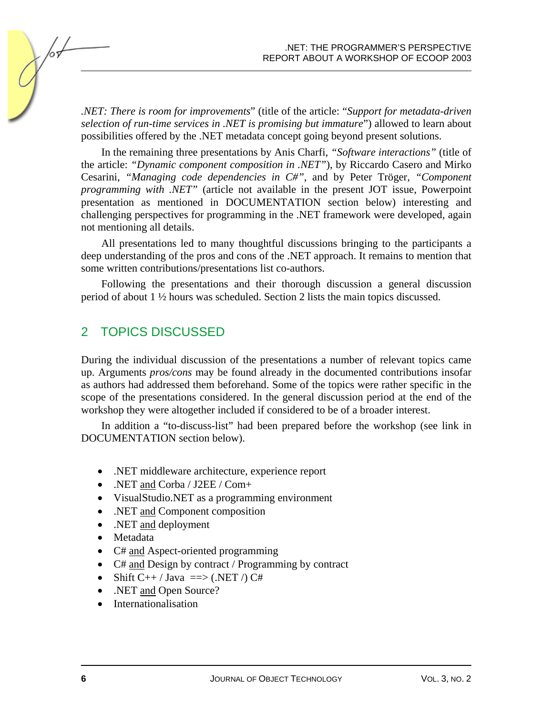*.NET: There is room for improvements*" (title of the article: "*Support for metadata-driven selection of run-time services in .NET is promising but immature*") allowed to learn about possibilities offered by the .NET metadata concept going beyond present solutions.

In the remaining three presentations by Anis Charfi, *"Software interactions"* (title of the article: *"Dynamic component composition in .NET"*), by Riccardo Casero and Mirko Cesarini, *"Managing code dependencies in C#"*, and by Peter Tröger, *"Component programming with .NET"* (article not available in the present JOT issue, Powerpoint presentation as mentioned in DOCUMENTATION section below) interesting and challenging perspectives for programming in the .NET framework were developed, again not mentioning all details.

All presentations led to many thoughtful discussions bringing to the participants a deep understanding of the pros and cons of the .NET approach. It remains to mention that some written contributions/presentations list co-authors.

Following the presentations and their thorough discussion a general discussion period of about 1 ½ hours was scheduled. Section 2 lists the main topics discussed.

## 2 TOPICS DISCUSSED

During the individual discussion of the presentations a number of relevant topics came up. Arguments *pros/cons* may be found already in the documented contributions insofar as authors had addressed them beforehand. Some of the topics were rather specific in the scope of the presentations considered. In the general discussion period at the end of the workshop they were altogether included if considered to be of a broader interest.

In addition a "to-discuss-list" had been prepared before the workshop (see link in DOCUMENTATION section below).

- .NET middleware architecture, experience report
- .NET and Corba / J2EE / Com+
- VisualStudio.NET as a programming environment
- .NET and Component composition
- .NET and deployment
- Metadata
- C# and Aspect-oriented programming
- C# and Design by contract / Programming by contract
- Shift  $C_{++}$  / Java =  $\Rightarrow$  (.NET /) C#
- .NET and Open Source?
- Internationalisation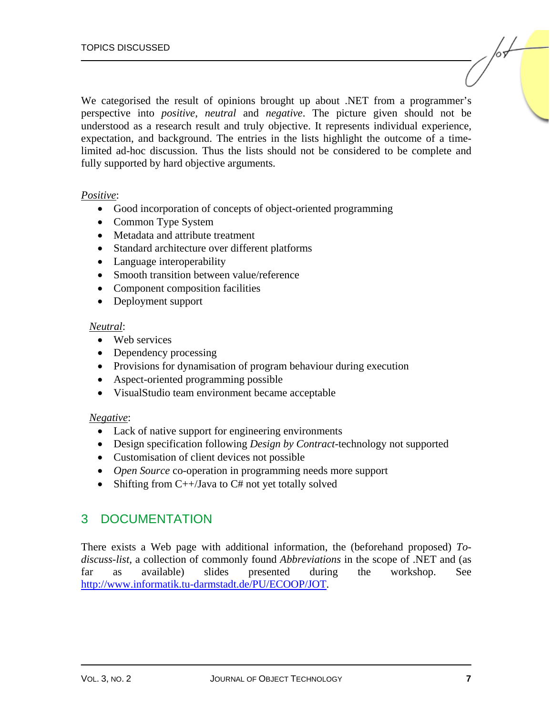We categorised the result of opinions brought up about .NET from a programmer's perspective into *positive*, *neutral* and *negative*. The picture given should not be understood as a research result and truly objective. It represents individual experience, expectation, and background. The entries in the lists highlight the outcome of a timelimited ad-hoc discussion. Thus the lists should not be considered to be complete and fully supported by hard objective arguments.

#### *Positive*:

- Good incorporation of concepts of object-oriented programming
- Common Type System
- Metadata and attribute treatment
- Standard architecture over different platforms
- Language interoperability
- Smooth transition between value/reference
- Component composition facilities
- Deployment support

#### *Neutral*:

- Web services
- Dependency processing
- Provisions for dynamisation of program behaviour during execution
- Aspect-oriented programming possible
- VisualStudio team environment became acceptable

#### *Negative*:

- Lack of native support for engineering environments
- Design specification following *Design by Contract*-technology not supported
- Customisation of client devices not possible
- *Open Source* co-operation in programming needs more support
- Shifting from C++/Java to C# not yet totally solved

## 3 DOCUMENTATION

There exists a Web page with additional information, the (beforehand proposed) *Todiscuss-list*, a collection of commonly found *Abbreviations* in the scope of .NET and (as far as available) slides presented during the workshop. See [http://www.informatik.tu-darmstadt.de/PU/ECOOP/JOT.](http://www.informatik.tu-darmstadt.de/PU/ECOOP/JOT)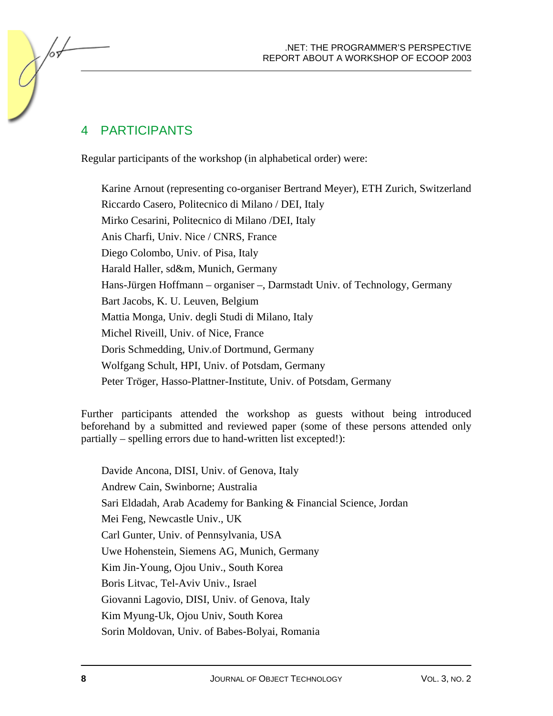## 4 PARTICIPANTS

Regular participants of the workshop (in alphabetical order) were:

Karine Arnout (representing co-organiser Bertrand Meyer), ETH Zurich, Switzerland Riccardo Casero, Politecnico di Milano / DEI, Italy Mirko Cesarini, Politecnico di Milano /DEI, Italy Anis Charfi, Univ. Nice / CNRS, France Diego Colombo, Univ. of Pisa, Italy Harald Haller, sd&m, Munich, Germany Hans-Jürgen Hoffmann – organiser –, Darmstadt Univ. of Technology, Germany Bart Jacobs, K. U. Leuven, Belgium Mattia Monga, Univ. degli Studi di Milano, Italy Michel Riveill, Univ. of Nice, France Doris Schmedding, Univ.of Dortmund, Germany Wolfgang Schult, HPI, Univ. of Potsdam, Germany Peter Tröger, Hasso-Plattner-Institute, Univ. of Potsdam, Germany

Further participants attended the workshop as guests without being introduced beforehand by a submitted and reviewed paper (some of these persons attended only partially – spelling errors due to hand-written list excepted!):

Davide Ancona, DISI, Univ. of Genova, Italy Andrew Cain, Swinborne; Australia Sari Eldadah, Arab Academy for Banking & Financial Science, Jordan Mei Feng, Newcastle Univ., UK Carl Gunter, Univ. of Pennsylvania, USA Uwe Hohenstein, Siemens AG, Munich, Germany Kim Jin-Young, Ojou Univ., South Korea Boris Litvac, Tel-Aviv Univ., Israel Giovanni Lagovio, DISI, Univ. of Genova, Italy Kim Myung-Uk, Ojou Univ, South Korea Sorin Moldovan, Univ. of Babes-Bolyai, Romania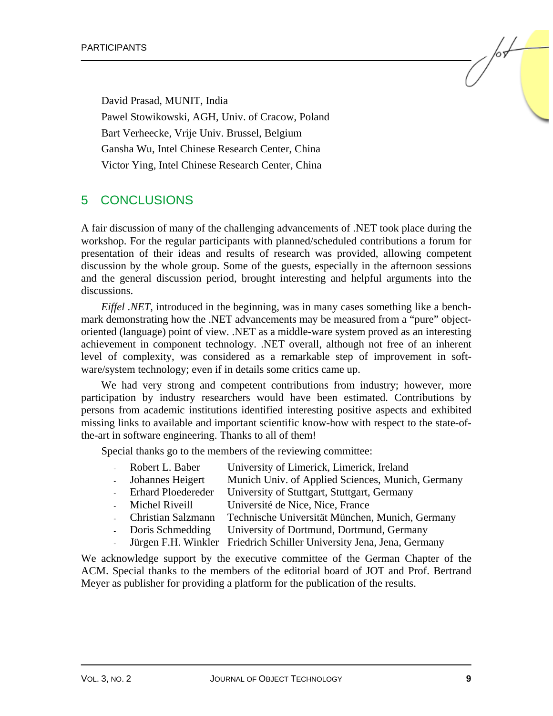David Prasad, MUNIT, India Pawel Stowikowski, AGH, Univ. of Cracow, Poland Bart Verheecke, Vrije Univ. Brussel, Belgium Gansha Wu, Intel Chinese Research Center, China Victor Ying, Intel Chinese Research Center, China

### 5 CONCLUSIONS

A fair discussion of many of the challenging advancements of .NET took place during the workshop. For the regular participants with planned/scheduled contributions a forum for presentation of their ideas and results of research was provided, allowing competent discussion by the whole group. Some of the guests, especially in the afternoon sessions and the general discussion period, brought interesting and helpful arguments into the discussions.

*Eiffel .NET*, introduced in the beginning, was in many cases something like a benchmark demonstrating how the .NET advancements may be measured from a "pure" objectoriented (language) point of view. .NET as a middle-ware system proved as an interesting achievement in component technology. .NET overall, although not free of an inherent level of complexity, was considered as a remarkable step of improvement in software/system technology; even if in details some critics came up.

We had very strong and competent contributions from industry; however, more participation by industry researchers would have been estimated. Contributions by persons from academic institutions identified interesting positive aspects and exhibited missing links to available and important scientific know-how with respect to the state-ofthe-art in software engineering. Thanks to all of them!

Special thanks go to the members of the reviewing committee:

- Robert L. Baber University of Limerick, Limerick, Ireland
- Johannes Heigert Munich Univ. of Applied Sciences, Munich, Germany
- Erhard Ploedereder University of Stuttgart, Stuttgart, Germany
- Michel Riveill Université de Nice, Nice, France
- Christian Salzmann Technische Universität München, Munich, Germany
- Doris Schmedding University of Dortmund, Dortmund, Germany
- Jürgen F.H. Winkler Friedrich Schiller University Jena, Jena, Germany

We acknowledge support by the executive committee of the German Chapter of the ACM. Special thanks to the members of the editorial board of JOT and Prof. Bertrand Meyer as publisher for providing a platform for the publication of the results.